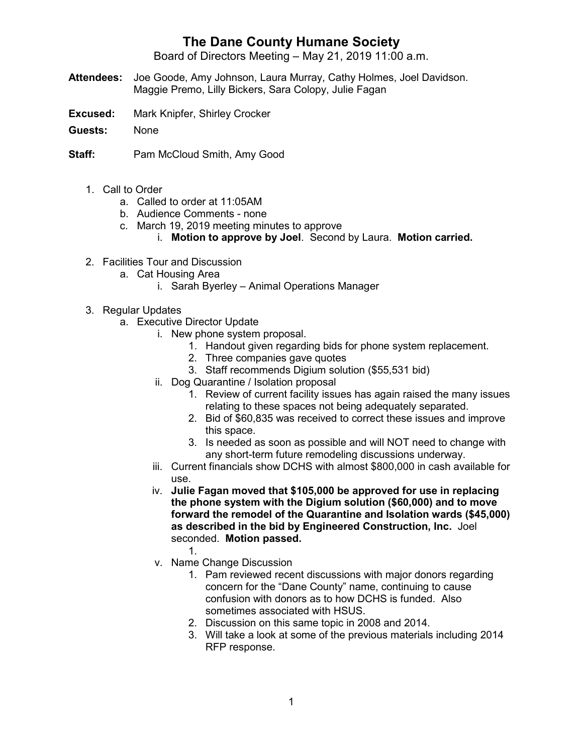## **The Dane County Humane Society**

Board of Directors Meeting – May 21, 2019 11:00 a.m.

- **Attendees:** Joe Goode, Amy Johnson, Laura Murray, Cathy Holmes, Joel Davidson. Maggie Premo, Lilly Bickers, Sara Colopy, Julie Fagan
- **Excused:** Mark Knipfer, Shirley Crocker
- **Guests:** None
- **Staff:** Pam McCloud Smith, Amy Good
	- 1. Call to Order
		- a. Called to order at 11:05AM
		- b. Audience Comments none
		- c. March 19, 2019 meeting minutes to approve
			- i. **Motion to approve by Joel**. Second by Laura. **Motion carried.**
	- 2. Facilities Tour and Discussion
		- a. Cat Housing Area
			- i. Sarah Byerley Animal Operations Manager
	- 3. Regular Updates
		- a. Executive Director Update
			- i. New phone system proposal.
				- 1. Handout given regarding bids for phone system replacement.
				- 2. Three companies gave quotes
				- 3. Staff recommends Digium solution (\$55,531 bid)
			- ii. Dog Quarantine / Isolation proposal
				- 1. Review of current facility issues has again raised the many issues relating to these spaces not being adequately separated.
				- 2. Bid of \$60,835 was received to correct these issues and improve this space.
				- 3. Is needed as soon as possible and will NOT need to change with any short-term future remodeling discussions underway.
			- iii. Current financials show DCHS with almost \$800,000 in cash available for use.
			- iv. **Julie Fagan moved that \$105,000 be approved for use in replacing the phone system with the Digium solution (\$60,000) and to move forward the remodel of the Quarantine and Isolation wards (\$45,000) as described in the bid by Engineered Construction, Inc.** Joel seconded. **Motion passed.**
				- 1.
			- v. Name Change Discussion
				- 1. Pam reviewed recent discussions with major donors regarding concern for the "Dane County" name, continuing to cause confusion with donors as to how DCHS is funded. Also sometimes associated with HSUS.
				- 2. Discussion on this same topic in 2008 and 2014.
				- 3. Will take a look at some of the previous materials including 2014 RFP response.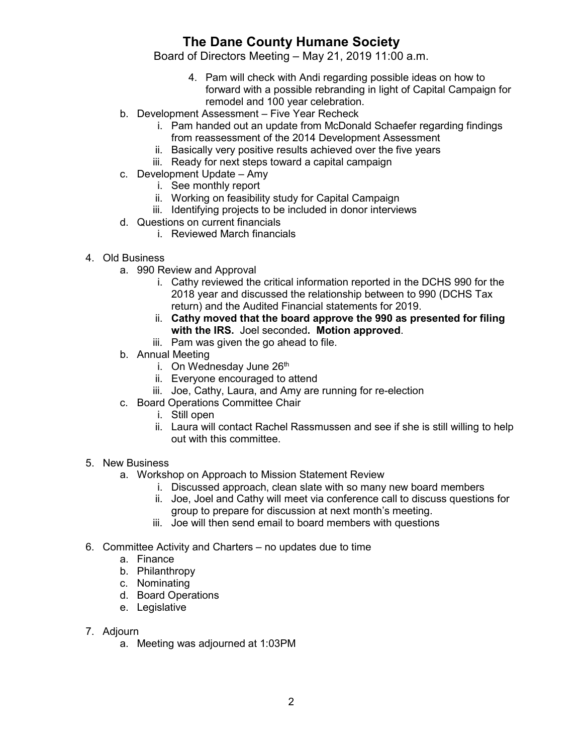## **The Dane County Humane Society**

Board of Directors Meeting – May 21, 2019 11:00 a.m.

- 4. Pam will check with Andi regarding possible ideas on how to forward with a possible rebranding in light of Capital Campaign for remodel and 100 year celebration.
- b. Development Assessment Five Year Recheck
	- i. Pam handed out an update from McDonald Schaefer regarding findings from reassessment of the 2014 Development Assessment
	- ii. Basically very positive results achieved over the five years
	- iii. Ready for next steps toward a capital campaign
- c. Development Update Amy
	- i. See monthly report
	- ii. Working on feasibility study for Capital Campaign
	- iii. Identifying projects to be included in donor interviews
- d. Questions on current financials
	- i. Reviewed March financials
- 4. Old Business
	- a. 990 Review and Approval
		- i. Cathy reviewed the critical information reported in the DCHS 990 for the 2018 year and discussed the relationship between to 990 (DCHS Tax return) and the Audited Financial statements for 2019.
		- ii. **Cathy moved that the board approve the 990 as presented for filing with the IRS.** Joel seconded**. Motion approved**.
		- iii. Pam was given the go ahead to file.
	- b. Annual Meeting
		- i. On Wednesday June  $26<sup>th</sup>$
		- ii. Everyone encouraged to attend
		- iii. Joe, Cathy, Laura, and Amy are running for re-election
	- c. Board Operations Committee Chair
		- i. Still open
		- ii. Laura will contact Rachel Rassmussen and see if she is still willing to help out with this committee.

## 5. New Business

- a. Workshop on Approach to Mission Statement Review
	- i. Discussed approach, clean slate with so many new board members
	- ii. Joe, Joel and Cathy will meet via conference call to discuss questions for group to prepare for discussion at next month's meeting.
	- iii. Joe will then send email to board members with questions
- 6. Committee Activity and Charters no updates due to time
	- a. Finance
	- b. Philanthropy
	- c. Nominating
	- d. Board Operations
	- e. Legislative
- 7. Adjourn
	- a. Meeting was adjourned at 1:03PM